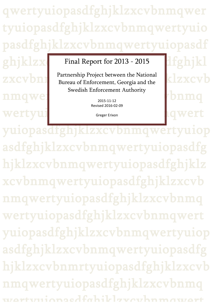qwertyuiopasdfghjklzxcvbnmqwer tyuiopasdfghjklzxcvbnmqwertyuio pasdfghjklzxcvbnmqwertyuiopasdf

 $\mathbf{image}$ 

# $\textbf{ghjklzx}$  Final Report for 2013 - 2015  $\textbf{dfghjkl}$

ZXCV $\bm{b}$ nn Bureau of Enforcement, Georgia and the **KIZXCV** Partnership Project between the National Swedish Enforcement Authority

2015-11-12

wertyui state of the state of the state of the state of the state of the state of the state of the state of the state of the state of the state of the state of the state of the state of the state of the state of the state yuiopasdfghjklzxcvbnmqwertyuiop asdfghjklzxcvbnmqwertyuiopasdfg hjklzxcvbnmqwertyuiopasdfghjklz xcvbnmqwertyuiopasdfghjklzxcvb nmqwertyuiopasdfghjklzxcvbnmq wertyuiopasdfghjklzxcvbnmqwert yuiopasdfghjklzxcvbnmqwertyuiop asdfghjklzxcvbnmqwertyuiopasdfg hjklzxcvbnmrtyuiopasdfghjklzxcvb nmqwertyuiopasdfghjklzxcvbnmq wertyuiopasdfghjklzxcvbnmqwert Revised 2016-02-09 Greger Erixon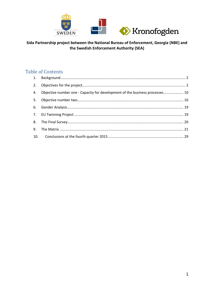

# **Table of Contents**

| 4. Objective number one - Capacity for development of the business processes 10 |  |
|---------------------------------------------------------------------------------|--|
|                                                                                 |  |
|                                                                                 |  |
|                                                                                 |  |
|                                                                                 |  |
|                                                                                 |  |
|                                                                                 |  |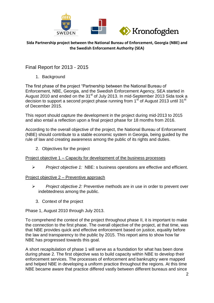

Final Report for 2013 - 2015

1. Background

<span id="page-2-0"></span>The first phase of the project "Partnership between the National Bureau of Enforcement, NBE, Georgia, and the Swedish Enforcement Agency, SEA started in August 2010 and ended on the 31<sup>st</sup> of July 2013. In mid-September 2013 Sida took a decision to support a second project phase running from 1<sup>st</sup> of August 2013 until 31<sup>st</sup> of December 2015.

This report should capture the development in the project during mid-2013 to 2015 and also entail a reflection upon a final project phase for 18 months from 2016.

According to the overall objective of the project, the National Bureau of Enforcement (NBE) should contribute to a stable economic system in Georgia, being guided by the rule of law and creating awareness among the public of its rights and duties.

2. Objectives for the project

<span id="page-2-1"></span>Project objective 1 – Capacity for development of the business processes

*Project objective 1:* NBE: s business operations are effective and efficient.

Project objective 2 – Preventive approach

- *Project objective 2:* Preventive methods are in use in order to prevent over indebtedness among the public.
	- 3. Context of the project

Phase 1, August 2010 through July 2013.

To comprehend the context of the project throughout phase II, it is important to make the connection to the first phase. The overall objective of the project, at that time, was that NBE provides quick and effective enforcement based on justice, equality before the law and transparency to the public by 2015. This report aims to show how far NBE has progressed towards this goal.

A short recapitulation of phase 1 will serve as a foundation for what has been done during phase 2. The first objective was to build capacity within NBE to develop their enforcement services. The processes of enforcement and bankruptcy were mapped and helped NBE in developing a uniform practice throughout the regions. At this time NBE became aware that practice differed vastly between different bureaus and since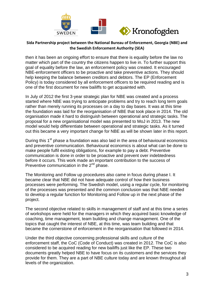

then it has been an ongoing effort to ensure that there is equality before the law no matter which part of the country the citizens happen to live in. To further support this goal of equality before the law, an enforcement policy was created. It encouraged NBE-enforcement officers to be proactive and take preventive actions. They should help keeping the balance between creditors and debtors. The EP (Enforcement Policy) is today considered by all enforcement officers to be required reading and is one of the first document for new bailiffs to get acquainted with.

In July of 2012 the first 3-year strategic plan for NBE was created and a process started where NBE was trying to anticipate problems and try to reach long term goals rather than merely running its processes on a day to day bases. It was at this time the foundation was laid for the reorganisation of NBE that took place in 2014. The old organisation made it hard to distinguish between operational and strategic tasks. The proposal for a new organisational model was presented to MoJ in 2013. The new model would help differentiate between operational and strategic tasks. As it turned out this became a very important change for NBE as will be shown later in this report.

During this  $1<sup>st</sup>$  phase a foundation was also laid in the area of behavioural economics and preventive communication. Behavioural economics is about what can be done to make people fulfil existing obligations, for example to pay a debt. Preventive communication is done in order to be proactive and prevent over indebtedness before it occurs. This work made an important contribution to the success of Preventive communication in the  $2^{nd}$  phase.

The Monitoring and Follow up procedures also came in focus during phase I. It became clear that NBE did not have adequate control of how their business processes were performing. The Swedish model, using a regular cycle, for monitoring of the processes was presented and the common conclusion was that NBE needed to develop a regular function for Monitoring and Follow up in the next phase of the project.

The second objective related to skills in management of staff and at this time a series of workshops were held for the managers in which they acquired basic knowledge of coaching, time management, team building and change management. One of the topics that caught the interest of NBE, at this time, was team building and that became the cornerstone of enforcement in the reorganisation that followed in 2014.

Under the third objective concerning professional skills and culture of the enforcement staff, the CoC (Code of Conduct) was created in 2012. The CoC is also considered to be acquired reading for new bailiffs just like the EP. These two documents greatly helped NBE to have focus on its customers and the services they provide for them. They are a part of NBE culture today and are known throughout all levels of the organization.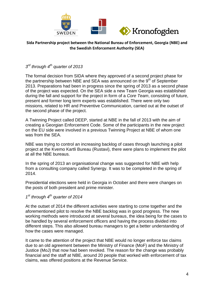

# *3 rd through 4th quarter of 2013*

The formal decision from SIDA where they approved of a second project phase for the partnership between NBE and SEA was announced on the  $9<sup>th</sup>$  of September 2013. Preparations had been in progress since the spring of 2013 as a second phase of the project was expected. On the SEA side a new Team Georgia was established during the fall and support for the project in form of a *Core Team*, consisting of future, present and former long term experts was established. There were only two missions, related to HR and Preventive Communication, carried out at the outset of the second phase of the project.

A Twinning Project called DEEP, started at NBE in the fall of 2013 with the aim of creating a Georgian Enforcement Code. Some of the participants in the new project on the EU side were involved in a previous Twinning Project at NBE of whom one was from the SEA.

NBE was trying to control an increasing backlog of cases through launching a pilot project at the Kvemo Kartli Bureau (Rustavi), there were plans to implement the pilot at all the NBE bureaus.

In the spring of 2013 an organisational change was suggested for NBE with help from a consulting company called Synergy. It was to be completed in the spring of 2014.

Presidential elections were held in Georgia in October and there were changes on the posts of both president and prime minister.

## *1 st through 4th quarter of 2014*

At the outset of 2014 the different activities were starting to come together and the aforementioned pilot to resolve the NBE backlog was in good progress. The new working methods were introduced at several bureaus, the idea being for the cases to be handled by several enforcement officers and having the process divided into different steps. This also allowed bureau managers to get a better understanding of how the cases were managed.

It came to the attention of the project that NBE would no longer enforce tax claims due to an old agreement between the Ministry of Finance (MoF) and the Ministry of Justice (MoJ) that now had been revoked. The reason for the change was probably financial and the staff at NBE, around 20 people that worked with enforcement of tax claims, was offered positions at the Revenue Service.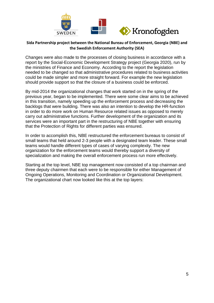

Changes were also made to the processes of closing business in accordance with a report by the Social-Economic Development Strategy project (Georgia 2020), run by the ministries of Finance and Economy. According to the report the legislation needed to be changed so that administrative procedures related to business activities could be made simpler and more straight forward. For example the new legislation should provide support so that the closure of a business could be enforced.

By mid-2014 the organizational changes that work started on in the spring of the previous year, began to be implemented. There were some clear aims to be achieved in this transition, namely speeding up the enforcement process and decreasing the backlogs that were building. There was also an intention to develop the HR-function in order to do more work on Human Resource related issues as opposed to merely carry out administrative functions. Further development of the organization and its services were an important part in the restructuring of NBE together with ensuring that the Protection of Rights for different parties was ensured.

In order to accomplish this, NBE restructured the enforcement bureaus to consist of small teams that held around 2-3 people with a designated team leader. These small teams would handle different types of cases of varying complexity. The new organization for the enforcement teams would thereby support a diversity of specialization and making the overall enforcement process run more effectively.

Starting at the top level, NBE top management now consisted of a top chairman and three deputy chairmen that each were to be responsible for either Management of Ongoing Operations, Monitoring and Coordination or Organizational Development. The organizational chart now looked like this at the top layers: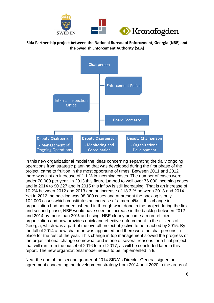



In this new organizational model the ideas concerning separating the daily ongoing operations from strategic planning that was developed during the first phase of the project, came to fruition in the most opportune of times. Between 2011 and 2012 there was just an increase of 1.1 % in incoming cases. The number of cases were under 70 000 per year. In 2013 this figure jumped to well over 76 000 incoming cases and in 2014 to 90 227 and in 2015 this inflow is still increasing. That is an increase of 10.2% between 2012 and 2013 and an increase of 18.3 % between 2013 and 2014. Yet in 2012 the backlog was 98 000 cases and at present the backlog is only 102 000 cases which constitutes an increase of a mere 4%. If this change in organization had not been ushered in through work done in the project during the first and second phase, NBE would have seen an increase in the backlog between 2012 and 2014 by more than 30% and rising. NBE clearly became a more efficient organization and now provides quick and effective enforcement to the citizens of Georgia, which was a part of the overall project objective to be reached by 2015. By the fall of 2014 a new chairman was appointed and there were no chairpersons in place for the rest of the year. This change in top management slowed the progress of the organizational change somewhat and is one of several reasons for a final project that will run from the outset of 2016 to mid-2017, as will be concluded later in this report. The new organizational model needs to be implemented in full.

Near the end of the second quarter of 2014 SIDA´s Director General signed an agreement concerning the development strategy from 2014 until 2020 in the areas of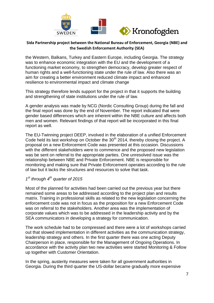

the Western, Balkans, Turkey and Eastern Europe, including Georgia. The strategy was to enhance economic integration with the EU and the development of a functioning market economy, to strengthen democracy, develop greater respect of human rights and a well-functioning state under the rule of law. Also there was an aim for creating a better environment reduced climate impact and enhanced resilience to environmental impact and climate change

This strategy therefore lends support for the project in that it supports the building and strengthening of state institutions under the rule of law.

A gender analysis was made by NCG (Nordic Consulting Group) during the fall and the final report was done by the end of November. The report indicated that were gender based differences which are inherent within the NBE culture and affects both men and women. Relevant findings of that report will be incorporated in this final report as well.

The EU-Twinning project DEEP, involved in the elaboration of a unified Enforcement Code held its last workshop on October the  $30<sup>th</sup>$  2014, thereby closing the project. A proposal on a new Enforcement Code was presented at this occasion. Discussions with the different stakeholders were to commence and the proposed new legislation was be sent on referral to the appropriate parties. One unresolved issue was the relationship between NBE and Private Enforcement. NBE is responsible for monitoring and making sure that Private Enforcement operates according to the rule of law but it lacks the structures and resources to solve that task.

#### *1 st through 4th quarter of 2015*

Most of the planned for activities had been carried out the previous year but there remained some areas to be addressed according to the project plan and results matrix. Training in professional skills as related to the new legislation concerning the enforcement code was not in focus as the proposition for a new Enforcement Code was on referral to the stakeholders. Another area was the implementation of corporate values which was to be addressed in the leadership activity and by the SEA communicators in developing a strategy for communication.

The work schedule had to be compressed and there were a lot of workshops carried out that slowed implementation in different activities as the communication strategy, leadership strategy and others. In the first quarter there was one acting Deputy Chairperson in place, responsible for the Management of Ongoing Operations. In accordance with the activity plan two new activities were started Monitoring & Follow up together with Customer Orientation.

In the spring, austerity measures were taken for all government authorities in Georgia. During the third quarter the US-dollar became gradually more expensive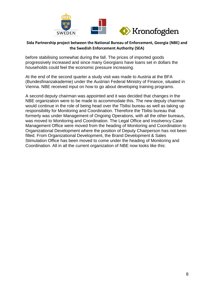

before stabilising somewhat during the fall. The prices of imported goods progressively increased and since many Georgians have loans set in dollars the households could feel the economic pressure increasing.

At the end of the second quarter a study visit was made to Austria at the BFA (Bundesfinanzakademie) under the Austrian Federal Ministry of Finance, situated in Vienna. NBE received input on how to go about developing training programs.

A second deputy chairman was appointed and it was decided that changes in the NBE organization were to be made to accommodate this. The new deputy chairman would continue in the role of being head over the Tbilisi bureau as well as taking up responsibility for Monitoring and Coordination. Therefore the Tbilisi bureau that formerly was under Management of Ongoing Operations, with all the other bureaus, was moved to Monitoring and Coordination. The Legal Office and Insolvency Case Management Office were moved from the heading of Monitoring and Coordination to Organizational Development where the position of Deputy Chairperson has not been filled. From Organizational Development, the Brand Development & Sales Stimulation Office has been moved to come under the heading of Monitoring and Coordination. All in all the current organization of NBE now looks like this: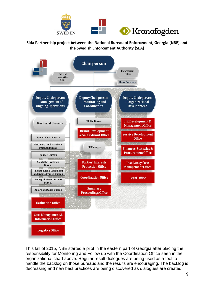



This fall of 2015, NBE started a pilot in the eastern part of Georgia after placing the responsibility for Monitoring and Follow up with the Coordination Office seen in the organizational chart above. Regular result dialogues are being used as a tool to handle the backlog on those bureaus and the results are encouraging. The backlog is decreasing and new best practices are being discovered as dialogues are created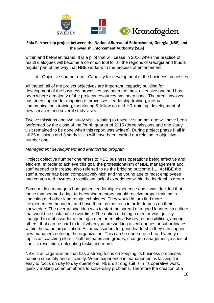

within and between teams. It is a pilot that will cease in 2016 when the practice of result dialogues will become a common tool for all the regions of Georgia and thus a regular part of the way that NBE works with the process of enforcement.

4. Objective number one - Capacity for development of the business processes

<span id="page-10-0"></span>All though all of the project objectives are important, capacity building for development of the business processes has been the most extensive one and has been where a majority of the projects resources has been used. The areas involved has been support for mapping of processes, leadership training, internal communications training, monitoring & follow up and HR-training, development of new services and several study visits.

Twelve missions and two study visits relating to objective number one will have been performed by the close of the fourth quarter of 2015 (three missions and one study visit remained to be done when this report was written). During project phase II all in all 25 missions and 3 study visits will have been carried out relating to objective number one.

#### *Management development and Mentorship program*

Project objective number one refers to NBE business operations being effective and efficient. In order to achieve this goal the professionalism of NBE management and staff needed to increase, also referred to as the bridging outcome 1.1. At NBE the staff turnover has been comparatively high and the young age of most employees had contributed towards a significant lack of experience within the leadership group.

Some middle managers had gained leadership experience and it was decided that those that seemed adapt to becoming mentors should receive proper training in coaching and other leadership techniques. They would in turn find more inexperienced managers and have them as mentees in order to pass on their knowledge. The overarching idea was to start the spread of a good leadership culture that would be sustainable over time. The notion of being a mentor was quickly changed to ambassador as being a mentor entails advisory responsibilities, among others, that can be hard to fulfil when you are working as colleagues or subordinates within the same organization. As ambassadors for good leadership they can support new managers entering the organization. This can be done one a broad variety of topics as coaching skills – both in teams and groups, change management, issues of conflict resolution, delegating tasks and more.

NBE is an organization that has a strong focus on keeping its business processes running smoothly and efficiently. When experience in management is lacking it is easy to focus on day to day operations. NBE´s strong suit is in its operative work, quickly making common efforts to solve daily problems. Therefore the creation of a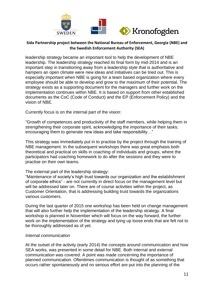

leadership strategy became an important tool to help the development of NBE leadership. The leadership strategy reached its final form by mid-2014 and is an important step in transitioning away from a leadership style that is authoritative and hampers an open climate were new ideas and initiatives can be tried out. This is especially important when NBE is going for a team based organization where every employee should be able to develop and grow to the maximum of their potential. The strategy exists as a supporting document for the managers and further work on the implementation continues within NBE. It is based on support from other established documents as the CoC (Code of Conduct) and the EP (Enforcement Policy) and the vision of NBE.

Currently focus is on the internal part of the vision:

"Growth of competences and productivity of the staff members, while helping them in strengthening their corporate spirit, acknowledging the importance of their tasks; encouraging them to generate new ideas and take responsibility…"

This strategy was immediately put in to practise by the project through the training of NBE management. In the subsequent workshops there was great emphasis both theoretical and practical on skills in coaching of individuals and groups, where the participators had coaching homework to do after the sessions and they were to practise on their own teams.

#### The external part of the leadership strategy:

"Maintenance of society's high trust towards our organization and the establishment of corporate ethics" - are not currently in direct focus on the management level but will be addressed later on. There are of course activities within the project, as Customer Orientation, that is addressing building trust towards the organizations various customers.

During the last quarter of 2015 one workshop has been held on change management that will also further help the implementation of the leadership strategy. A final workshop is planned in November which will focus on the way forward, the further work on the implementation of the strategy and tying up loose ends that are felt not to be thoroughly addressed as of yet.

#### *Internal communication*

At the outset of the activity (early 2014) the concepts around communication and how SEA works, was presented in some detail for NBE. Both internal and external communication was covered. A point was made concerning the importance of planned communication. Oftentimes communication is thought of as something that occurs rather spontaneously and no serious effort are put into the planning of the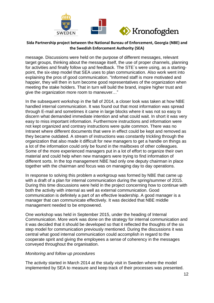

message. Discussions were held on the purpose of different messages, relevant target groups, thinking about the message itself, the use of proper channels, planning for activities and finally follow up and feedback. The STE´s were using, as a startingpoint, the six-step model that SEA uses to plan communication. Also work went into explaining the pros of good communication. "Informed staff is more motivated and happier, they will then in turn become good representatives of the organization when meeting the stake holders. That in turn will build the brand, inspire higher trust and give the organization more room to maneuver…"

In the subsequent workshop in the fall of 2014, a closer look was taken at how NBE handled internal communication. It was found out that most information was spread through E-mail and sometimes it came in large blocks where it was not so easy to discern what demanded immediate intention and what could wait. In short it was very easy to miss important information. Furthermore instructions and information were not kept organized and contrary instructions were quite common. There was no Intranet where different documents that were in effect could be kept and removed as they became outdated. A stream of instructions was constantly trickling through the organization that also made it difficult for new managers to get a handle on things as a lot of the information could only be found in the mailboxes of other colleagues. Some of the more experienced managers put in a lot of effort to organize their own material and could help when new managers were trying to find information of different sorts. In the top management NBE had only one deputy chairman in place together with the chairman and focus was on managing day to day operations.

In response to solving this problem a workgroup was formed by NBE that came up with a draft of a plan for internal communication during the spring/summer of 2015. During this time discussions were held in the project concerning how to continue with both the activity with internal as well as external communication. Good communication is definitely a part of an effective leadership. A good manager is a manager that can communicate effectively. It was decided that NBE middle management needed to be empowered.

One workshop was held in September 2015, under the heading of Internal Communication. More work was done on the strategy for internal communication and it was decided that it should be developed so that it reflected the thoughts of the six step model for communication previously mentioned. During the discussions it was central what good internal communication could accomplish in regard to the cooperate spirit and giving the employees a sense of coherency in the messages conveyed throughout the organisation.

#### *Monitoring and follow up procedures*

The activity started in March 2014 at the study visit in Sweden where the model implemented by SEA to measure and keep track of their processes was presented.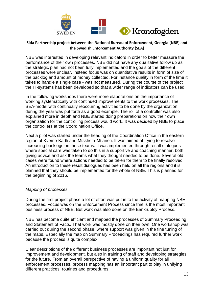

NBE was interested in developing relevant indicators in order to better measure the performance of their own processes. NBE did not have any qualitative follow up as the strategic plan had not been fully implemented and the goals of the different processes were unclear. Instead focus was on quantitative results in form of size of the backlog and amount of money collected. For instance quality in form of the time it takes to handle a single case - was not measured. During the course of the project the IT-systems has been developed so that a wider range of indicators can be used.

In the following workshops there were more elaborations on the importance of working systematically with continued improvements to the work processes. The SEA-model with continually reoccurring activities to be done by the organization during the year was put forth as a good example. The roll of a controller was also explained more in depth and NBE started doing preparations on how their own organization for the controlling process would work. It was decided by NBE to place the controllers at the Coordination Office.

Next a pilot was started under the heading of the Coordination Office in the eastern region of Kvemo-Kartli and Mtskheta-Mtianeti. It was aimed at trying to resolve increasing backlogs on those teams. It was implemented through result dialogues where special care was taken to do this in a supportive and coaching manner, both giving advice and ask the teams what they thought needed to be done. Several old cases were found where actions needed to be taken for them to be finally resolved. An introduction to these result dialogues has been held on all the regions and it is planned that they should be implemented for the whole of NBE. This is planned for the beginning of 2016.

#### *Mapping of processes*

During the first project phase a lot of effort was put in to the activity of mapping NBE processes. Focus was on the Enforcement Process since that is the most important business process of NBE. But work was also done on the Bankruptcy Process.

NBE has become quite efficient and mapped the processes of Summary Proceeding and Statement of Facts. That work was mostly done on their own. One workshop was carried out during the second phase, where support was given in the fine tuning of the maps. Especially the map on Summary Proceedings has required further work because the process is quite complex.

Clear descriptions of the different business processes are important not just for improvement and development, but also in training of staff and developing strategies for the future. From an overall perspective of having a uniform quality for all enforcement processes, process mapping has an important part to play in unifying different practices, routines and procedures.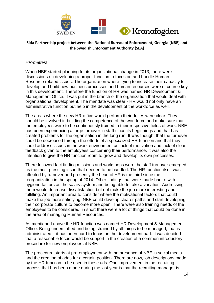

#### *HR-matters*

When NBE started planning for its organizational change in 2013, there were discussions on developing a proper function to focus on and handle Human Resource related issues. The organization where trying to increase their capacity to develop and build new business processes and human resources were of course key in this development. Therefore the function of HR was named HR Development & Management Office. It was put in the branch of the organization that would deal with organizational development. The mandate was clear - HR would not only have an administrative function but help in the development of the workforce as well.

The areas where the new HR-office would perform their duties were clear. They should be involved in building the competence of the workforce and make sure that the employees were to be continuously trained in their respective fields of work. NBE has been experiencing a large turnover in staff since its beginnings and that has created problems for the organisation in the long run. It was thought that the turnover could be decreased through the efforts of a specialized HR-function and that they could address issues in the work environment as lack of motivation and lack of clear feedback given to the employees concerning their performance. It was also the intention to give the HR function room to grow and develop its own processes.

There followed fact finding missions and workshops were the staff turnover emerged as the most pressing issue that needed to be handled. The HR-function itself was affected by turnover and presently the head of HR is the third since the reorganization in the spring of 2014. Other findings that were made had to with hygiene factors as the salary system and being able to take a vacation. Addressing them would decrease dissatisfaction but not make the job more interesting and fulfilling. An important area to consider where the motivational factors that could make the job more satisfying. NBE could develop clearer paths and start developing their corporate culture to become more open. There were also training needs of the employees to be considered, in short there were a lot of things that could be done in the area of managing Human Resources.

As mentioned above the HR-function was named HR Development & Management Office. Being understaffed and being strained by all things to be managed, that is administrated – it has been hard to focus on the development part. It was decided that a reasonable focus would be support in the creation of a common introductory procedure for new employees at NBE.

The procedure starts at pre-employment with the presence of NBE in social media and the creation of adds for a certain position. There are now, job descriptions made by the HR-function to be used in these ads. One improvement in the recruiting process that has been made during the last year is that the recruiting manager is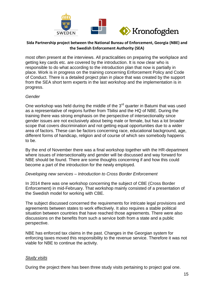

most often present at the interviews. All practicalities on preparing the workplace and getting key cards etc. are covered by the introduction. It is now clear who is responsible to do what according to the introduction plan that now is partially in place. Work is in progress on the training concerning Enforcement Policy and Code of Conduct. There is a detailed project plan in place that was created by the support from the SEA short term experts in the last workshop and the implementation is in progress.

#### *Gender*

One workshop was held during the middle of the  $3<sup>rd</sup>$  quarter in Batumi that was used as a representative of regions further from Tbilisi and the HQ of NBE. During the training there was strong emphasis on the perspective of intersectionality since gender issues are not exclusively about being male or female, but has a lot broader scope that covers discrimination and not getting equal opportunities due to a wider area of factors. These can be factors concerning race, educational background, age, different forms of handicap, religion and of course of which sex somebody happens to be.

By the end of November there was a final workshop together with the HR-department where issues of intersectionality and gender will be discussed and way forward for NBE should be found. There are some thoughts concerning if and how this could become a part of the introduction for the newly employed.

#### *Developing new services – Introduction to Cross Border Enforcement*

In 2014 there was one workshop concerning the subject of CBE (Cross Border Enforcement) in mid-February. That workshop mainly consisted of a presentation of the Swedish model for working with CBE.

The subject discussed concerned the requirements for intricate legal provisions and agreements between states to work effectively. It also requires a stable political situation between countries that have reached those agreements. There were also discussions on the benefits from such a service both from a state and a public perspective.

NBE has enforced tax claims in the past. Changes in the Georgian system for enforcing taxes moved this responsibility to the revenue service. Therefore it was not viable for NBE to continue the activity.

#### *Study visits*

During the project there has been three study visits pertaining to project goal one.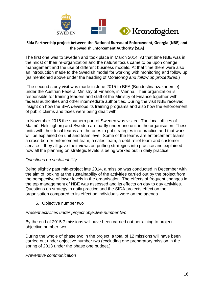

The first one was to Sweden and took place in March 2014. At that time NBE was in the midst of their re-organization and the natural focus came to be upon change management and the use of different business models. At that time there were also an introduction made to the Swedish model for working with monitoring and follow up (as mentioned above under the heading of *Monitoring and follow up procedures*.)

The second study visit was made in June 2015 to BFA (Bundesfinanzakademie) under the Austrian Federal Ministry of Finance, in Vienna. Their organization is responsible for training leaders and staff of the Ministry of Finance together with federal authorities and other intermediate authorities. During the visit NBE received insight on how the BFA develops its training programs and also how the enforcement of public claims and taxes were being dealt with.

In November 2015 the southern part of Sweden was visited. The local offices of Malmö, Helsingborg and Sweden are partly under one unit in the organisation. These units with their local teams are the ones to put strategies into practice and that work will be explained on unit and team level. Some of the teams are enforcement teams, a cross-border enforcement team, a sales team, a debt relief team and customer service – they all gave their views on putting strategies into practice and explained how all the planning on strategic levels is being worked out in daily practice.

#### *Questions on sustainability*

Being slightly past mid-project late 2014, a mission was conducted in December with the aim of looking at the sustainability of the activities carried out by the project from the perspective of lower levels in the organisation. The effects of frequent changes in the top management of NBE was assessed and its effects on day to day activities. Questions on strategy in daily practice and the SIDA projects effect on the organisation compared to its effect on individuals were on the agenda.

5. Objective number two

#### <span id="page-16-0"></span>*Present activities under project objective number two*

By the end of 2015 7 missions will have been carried out pertaining to project objective number two.

During the whole of phase two in the project, a total of 12 missions will have been carried out under objective number two (excluding one preparatory mission in the spring of 2013 under the phase one budget.)

#### *Preventive communication*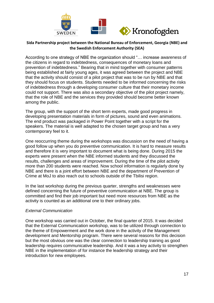

According to one strategy of NBE the organization should "… increase awareness of the citizens in regard to indebtedness, consequences of monetary loans and prevention of indebtedness." Bearing that in mind together with consumer patterns being established at fairly young ages, it was agreed between the project and NBE that the activity should consist of a pilot project that was to be run by NBE and that they should focus on students. Students needed to be informed concerning the risks of indebtedness through a developing consumer culture that their monetary income could not support. There was also a secondary objective of the pilot project namely, that the role of NBE and the services they provided should become better known among the public.

The group, with the support of the short term experts, made good progress in developing presentation materials in form of pictures, sound and even animations. The end product was packaged in Power Point together with a script for the speakers. The material is well adapted to the chosen target group and has a very contemporary feel to it.

One reoccurring theme during the workshops was discussion on the need of having a good follow up when you do preventive communication. It is hard to measure results and therefore it is very important to document what is being done. During 2015 the experts were present when the NBE informed students and they discussed the results, challenges and areas of improvement. During the time of the pilot activity more than 200 students were reached. Now school information is regularly done by NBE and there is a joint effort between NBE and the department of Prevention of Crime at MoJ to also reach out to schools outside of the Tbilisi region.

In the last workshop during the previous quarter, strengths and weaknesses were defined concerning the future of preventive communication at NBE. The group is committed and find their job important but need more resources from NBE as the activity is counted as an additional one to their ordinary jobs.

#### *External Communication*

One workshop was carried out in October, the final quarter of 2015. It was decided that the External Communication workshop, was to be utilized through connection to the theme of Empowerment and the work done in the activity of the Management development and Mentorship program. There were several reasons for this decision but the most obvious one was the clear connection to leadership training as good leadership requires communicative leadership. And it was a key activity to strengthen NBE in the implementation of for instance the leadership strategy and their introduction for new employees.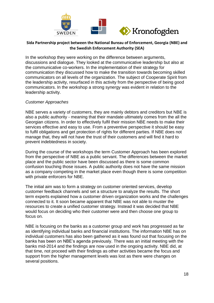

In the workshop they were working on the difference between arguments, discussions and dialogue. They looked at the communicative leadership but also at the communicative co-workers. In the implementation of their strategy for communication they discussed how to make the transition towards becoming skilled communicators on all levels of the organization. The subject of Cooperate Spirit from the leadership activity, resurfaced in this activity from the perspective of being good communicators. In the workshop a strong synergy was evident in relation to the leadership activity.

#### *Customer Approaches*

NBE serves a variety of customers, they are mainly debtors and creditors but NBE is also a public authority - meaning that their mandate ultimately comes from the all the Georgian citizens. In order to effectively fulfil their mission NBE needs to make their services effective and easy to use. From a preventive perspective it should be easy to fulfil obligations and get protection of rights for different parties. If NBE does not manage that, they will not have the trust of their customers and will find it hard to prevent indebtedness in society.

During the course of the workshops the term Customer Approach has been explored from the perspective of NBE as a public servant. The differences between the market place and the public sector have been discussed as there is some common confusion touching those issues. A public authority does not have the same mission as a company competing in the market place even though there is some competition with private enforcers for NBE.

The initial aim was to form a strategy on customer oriented services, develop customer feedback channels and set a structure to analyze the results. The short term experts explained how a customer driven organization works and the challenges connected to it. It soon became apparent that NBE was not able to muster the resources to create a unified customer strategy. Instead it was decided that NBE would focus on deciding who their customer were and then choose one group to focus on.

NBE is focusing on the banks as a customer group and work has progressed as far as identifying individual banks and financial institutions. The information NBE has on individual customers has also been gathered as it was found out that focusing on the banks has been on NBE's agenda previously. There was an initial meeting with the banks mid-2014 and the findings are now used in the ongoing activity. NBE did, at that time, not proceed with their findings as other activities became the focus and support from the higher management levels was lost as there were changes on several positions.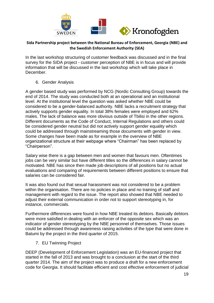

In the last workshop structuring of customer feedback was discussed and in the final survey for the SIDA project - customer perception of NBE is in focus and will provide information that will be discussed in the last workshop which will take place in December.

#### 6. Gender Analysis

<span id="page-19-0"></span>A gender based study was performed by NCG (Nordic Consulting Group) towards the end of 2014. The study was conducted both at an operational and an institutional level. At the institutional level the question was asked whether NBE could be considered to be a gender-balanced authority. NBE lacks a recruitment strategy that actively supports gender equality. In total 38% females were employed and 62% males. The lack of balance was more obvious outside of Tbilisi in the other regions. Different documents as the Code of Conduct, Internal Regulations and others could be considered gender neutral but did not actively support gender equality which could be addressed through mainstreaming those documents with gender in view. Some changes have been made as for example in the overview of NBE organizational structure at their webpage where "Chairman" has been replaced by "Chairperson".

Salary wise there is a gap between men and women that favours men. Oftentimes jobs can be very similar but have different titles so the differences in salary cannot be motivated. NBE has since then made job descriptions of all positions but no actual evaluations and comparing of requirements between different positions to ensure that salaries can be considered fair.

It was also found out that sexual harassment was not considered to be a problem within the organisation. There are no policies in place and no training of staff and management with regard to the issue. The report also showed that NBE needed to adjust their external communication in order not to support stereotyping in, for instance, commercials.

Furthermore differences were found in how NBE treated its debtors. Basically debtors were more satisfied in dealing with an enforcer of the opposite sex which was an indicator of gender stereotyping by the NBE personnel of themselves. Those issues could be addressed through awareness raising activities of the type that were done in Batumi by the project in the third quarter of 2015.

7. EU Twinning Project

<span id="page-19-1"></span>DEEP (Development of Enforcement Legislation) was an EU-financed project that started in the fall of 2013 and was brought to a conclusion at the start of the third quarter 2014. The aim of the project was to produce a draft for a new enforcement code for Georgia. It should facilitate efficient and cost effective enforcement of judicial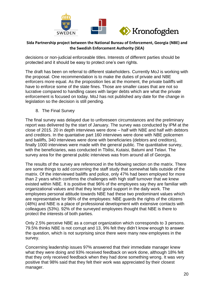

decisions or non-judicial enforceable titles. Interests of different parties should be protected and it should be easy to protect one's own rights.

The draft has been on referral to different stakeholders. Currently MoJ is working with the proposal. One recommendation is to make the duties of private and NBE enforcers more equal. As the proposition lies at the moment, the private bailiffs will have to enforce some of the state fines. Those are smaller cases that are not so lucrative compared to handling cases with larger debts which are what the private enforcement is focused on today. MoJ has not published any date for the change in legislation so the decision is still pending.

8. The Final Survey

<span id="page-20-0"></span>The final survey was delayed due to unforeseen circumstances and the preliminary report was delivered by the start of January. The survey was conducted by IPM at the close of 2015. 20 in depth interviews were done – half with NBE and half with debtors and creditors. In the quantative part 160 interviews were done with NBE policemen and bailiffs, 340 interviews were done with beneficiaries (debtors and creditors), finally 1000 interviews were made with the general public. The quantitative survey, with the beneficiaries, was conducted in Tbilisi, Kutaisi, Batumi and Telavi. The survey area for the general public interviews was from around all of Georgia.

The results of the survey are referenced in the following section on the matrix. There are some things to add concerning the staff study that somewhat falls outside of the matrix. Of the interviewed bailiffs and police, only 47% had been employed for more than 2 years which confirms the challenges with high staff turnover that we knew existed within NBE. It is positive that 96% of the employees say they are familiar with organizational values and that they lend good support in the daily work. The employees personal attitude towards NBE had these two predominant values which are representative for 96% of the employees: NBE guards the rights of the citizens (48%) and NBE is a place of professional development with extensive contacts with colleagues (53%). 92% of the surveyed employees thought that NBE is there to protect the interests of both parties.

Only 2.5% perceive NBE as a corrupt organization which corresponds to 3 persons. 79.5% thinks NBE is not corrupt and 13, 9% felt they didn't know enough to answer the question, which is not surprising since there were many new employees in the survey.

Concerning leadership issues 97% answered that their immediate manager knew what they were doing and 93% received feedback on work done, although 18% felt that they only received feedback when they had done something wrong. It was very positive that 98% said that they felt their work was appreciated by their closest manager.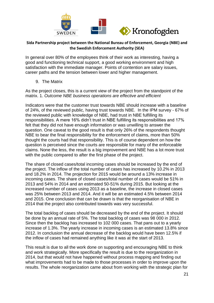

In general over 80% of the employees think of their work as interesting, having a good and functioning technical support, a good working environment and high satisfaction with the immediate manager. Points of contention are salary issues, career paths and the tension between lower and higher management.

9. The Matrix

<span id="page-21-0"></span>As the project closes, this is a current view of the project from the standpoint of the matrix. 1. *Outcome NBE business operations are effective and efficient*

Indicators were that the customer trust towards NBE should increase with a baseline of 24%, of the reviewed public, having trust towards NBE. In the IPM survey - 67% of the reviewed public with knowledge of NBE, had trust in NBE fulfilling its responsibilities. A mere 16% didn't trust in NBE fulfilling its responsibilities and 17% felt that they did not have enough information or was unwilling to answer the question. One caveat to the good result is that only 26% of the respondents thought NBE to bear the final responsibility for the enforcement of claims, more than 50% thought the courts had that responsibility. This is of course dependent on how the question is perceived since the courts are responsible for many of the enforceable claims. None the less, the result is a big improvement and NBE has a lot more trust with the public compared to after the first phase of the project.

The share of closed cases/total incoming cases should be increased by the end of the project. The inflow of the total number of cases has increased by 10.2% in 2013 and 18.2% in 2014. The projection for 2015 would be around a 13% increase in incoming cases. The share of closed cases/total number of cases would be 51% in 2013 and 54% in 2014 and an estimated 50-51% during 2015. But looking at the increased number of cases using 2013 as a baseline, the increase in closed cases was 25% between 2013 and 2014. And it will be an estimated 4.5% between 2014 and 2015. One conclusion that can be drawn is that the reorganisation of NBE in 2014 that the project also contributed towards was very successful.

The total backlog of cases should be decreased by the end of the project. It should be done by an annual rate of 5%. The total backlog of cases was 98 000 in 2012. Since then the backlog has increased to 102 000 cases. That pans out to a yearly increase of 1.3%. The yearly increase in incoming cases is an estimated 13.8% since 2012. In conclusion the annual decrease of the backlog would have been 12.5% if the inflow of cases had remained anything like it was at the start of 2013.

This result is due to all the work done on supporting and encouraging NBE to think and work strategically. More specifically the result is due to the reorganization in 2014, but that would not have happened without process mapping and finding out what improvements had to be made to those processes in order to improve upon the results. The whole reorganization came about from working with the strategic plan for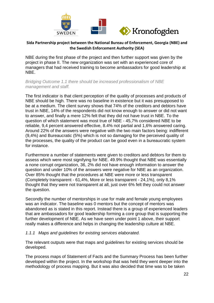

NBE during the first phase of the project and then further support was given by the project in phase II. The new organization was set with an experienced core of managers that had received training to become ambassadors for good leadership at NBE.

*Bridging Outcome 1.1 there should be increased professionalism of NBE management and staff.*

The first indicator is that client perception of the quality of processes and products of NBE should be high. There was no baseline in existence but it was presupposed to be at a medium. The client survey shows that 74% of the creditors and debtors have trust in NBE, 14% of the respondents did not know enough to answer or did not want to answer, and finally a mere 12% felt that they did not have trust in NBE. To the question of which statement was most true of NBE - 45,7% considered NBE to be reliable, 9,4 percent answered effective, 8.4% not partial and 1,6% answered caring. Around 22% of the answers were negative with the two main factors being: indifferent (9,4%) and Bureaucratic (5%) which is not so damaging for the perceived quality of the processes, the quality of the product can be good even in a bureaucratic system for instance.

Furthermore a number of statements were given to creditors and debtors for them to assess which were most signifying for NBE. 49.9% thought that NBE was essentially a none corrupt organization, 36, 2% did not have enough information to answer the question and under 10% of the answers were negative for NBE as an organization. Over 85% thought that the procedures at NBE were more or less transparent (Completely transparent - 61,4%, More or less transparent - 24,1%), only 8,1% thought that they were not transparent at all, just over 6% felt they could not answer the question.

Secondly the number of mentorships in use for male and female young employees was an indicator. The baseline was 0 mentors but the concept of mentors was abandoned as is stated in this report. Instead there is a group of experienced leaders that are ambassadors for good leadership forming a core group that is supporting the further development of NBE. As we have seen under point 1 above, their support really makes a difference and helps in changing the leadership culture at NBE.

#### *1.1.1 Maps and guidelines for existing services elaborated.*

The relevant outputs were that maps and guidelines for existing services should be developed.

The process maps of Statement of Facts and the Summary Process has been further developed within the project. In the workshop that was held they went deeper into the methodology of process mapping. But it was also decided that time was to be taken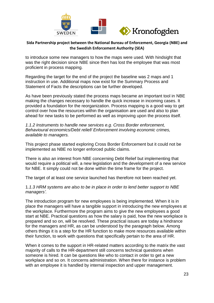

to introduce some new managers to how the maps were used. With hindsight that was the right decision since NBE since then has lost the employee that was most proficient in process mapping.

Regarding the target for the end of the project the baseline was 2 maps and 1 instruction in use. Additional maps now exist for the Summary Process and Statement of Facts the descriptions can be further developed.

As have been previously stated the process maps became an important tool in NBE making the changes necessary to handle the quick increase in incoming cases. It provided a foundation for the reorganization. Process mapping is a good way to get control over how the resources within the organisation are used and also to plan ahead for new tasks to be performed as well as improving upon the process itself.

*1.1.2 Instruments to handle new services e.g. Cross Border enforcement, Behavioural economics/Debt relief/ Enforcement involving economic crimes, available to managers.*

This project phase started exploring Cross Border Enforcement but it could not be implemented as NBE no longer enforced public claims.

There is also an interest from NBE concerning Debt Relief but implementing that would require a political will, a new legislation and the development of a new service for NBE. It simply could not be done within the time frame for the project.

The target of at least one service launched has therefore not been reached yet.

1*.1.3 HRM systems are also to be in place in order to lend better support to NBE managers'.*

The introduction program for new employees is being implemented. When it is in place the managers will have a tangible support in introducing the new employees at the workplace. Furthermore the program aims to give the new employees a good start at NBE. Practical questions as how the salary is paid, how the new workplace is prepared and so on, will be resolved. These practical issues are today a hindrance for the managers and HR, as can be understood by the paragraph below. Among others things it is a step for the HR function to make more resources available within their function, to work with questions that specifically pertain to the area of HR.

When it comes to the support in HR-related matters according to the matrix the vast majority of calls to the HR-department still concerns technical questions when someone is hired. It can be questions like who to contact in order to get a new workplace and so on. It concerns administration. When there for instance is problem with an employee it is handled by internal inspection and upper management.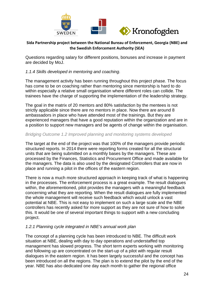

Questions regarding salary for different positions, bonuses and increase in payment are decided by MoJ.

#### *1.1.4 Skills developed in mentoring and coaching.*

The management activity has been running throughout this project phase. The focus has come to be on coaching rather than mentoring since mentorship is hard to do within especially a relative small organisation where different roles can collide. The trainees have the charge of supporting the implementation of the leadership strategy.

The goal in the matrix of 20 mentors and 80% satisfaction by the mentees is not strictly applicable since there are no mentors in place. Now there are around 8 ambassadors in place who have attended most of the trainings. But they are experienced managers that have a good reputation within the organization and are in a position to support new managers and be agents of change within the organisation.

#### *Bridging Outcome 1.2 Improved planning and monitoring systems developed*

The target at the end of the project was that 100% of the managers provide periodic structured reports. In 2014 there were reporting forms created for all the structural units that are being submitted on a monthly bases by the managers. These are processed by the Finances, Statistics and Procurement Office and made available for the managers. The data is also used by the designated Controllers that are now in place and running a pilot in the offices of the eastern region.

There is now a much more structured approach in keeping track of what is happening in the processes. The enforcement process is a great example. The result dialogues within, the aforementioned, pilot provides the managers with a meaningful feedback concerning what they are reporting. When the result dialogues are fully implemented the whole management will receive such feedback which would unlock a vast potential at NBE. This is not easy to implement on such a large scale and the NBE controllers has recently asked for more support as they are not sure of how to solve this. It would be one of several important things to support with a new concluding project.

#### *1.2.1 Planning cycle integrated in NBE's annual work plan*

The concept of a planning cycle has been introduced to NBE. The difficult work situation at NBE, dealing with day to day operations and understaffed top management has slowed progress. The short term experts working with monitoring and following up are concentrated on the start-up of a pilot with regular result dialogues in the eastern region. It has been largely successful and the concept has been introduced on all the regions. The plan is to extend the pilot by the end of the year. NBE has also dedicated one day each month to gather the regional office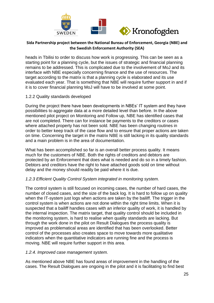

heads in Tbilisi to order to discuss how work is progressing. This can be seen as a starting point for a planning cycle, but the issues of strategic and financial planning remains to be addressed. This is complicated due to the involvement of MoJ and its interface with NBE especially concerning finance and the use of resources. The target according to the matrix is that a planning cycle is elaborated and its use evaluated each year. That is something that NBE will require further support in and if it is to cover financial planning MoJ will have to be involved at some point.

#### 1.2.2 Quality standards developed

During the project there have been developments in NBEs' IT system and they have possibilities to aggregate data at a more detailed level than before. In the above mentioned pilot project on Monitoring and Follow up, NBE has identified cases that are not completed. There can for instance be payments to the creditors or cases where attached property has not been sold. NBE has been changing routines in order to better keep track of the case flow and to ensure that proper actions are taken on time. Concerning the target in the matrix NBE is still lacking in its quality standards and a main problem is in the area of documentation.

What has been accomplished so far is an overall better process quality. It means much for the customers of NBE. Both the rights of creditors and debtors are protected by an Enforcement that does what is needed and do so in a timely fashion. Debtors and creditors have the right to have attached goods sold on time without delay and the money should readily be paid where it is due.

## *1.2.3 Efficient Quality Control System integrated in monitoring system.*

The control system is still focused on incoming cases, the number of hard cases, the number of closed cases, and the size of the back log. It is hard to follow up on quality when the IT-system just logs when actions are taken by the bailiff. The trigger in the control system is when actions are not done within the right time limits. When it is suspected that a bailiff handles cases with an inferior quality of work, it is handled by the internal inspection. The matrix target, that quality control should be included in the monitoring system, is hard to realise when quality standards are lacking. But through the work done in the pilot on Result Dialogues the process quality is improved as problematical areas are identified that has been overlooked. Better control of the processes also creates space to move towards more qualitative indicators when the quantitative indicators are running fine and the process is moving. NBE will require further support in this area.

#### *1.2.4. Improved case management system.*

As mentioned above NBE has found areas of improvement in the handling of the cases. The Result Dialogues are ongoing in the pilot and it is facilitating to find best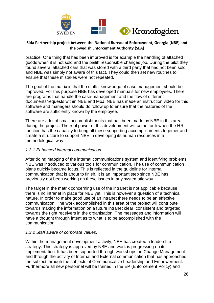

practice. One thing that has been improved is for example the handling of attached goods when it is not sold and the bailiff responsible changes job. During the pilot they found several attached cars that was stored with a third party that had not been sold and NBE was simply not aware of this fact. They could then set new routines to ensure that these mistakes were not repeated.

The goal of the matrix is that the staffs' knowledge of case management should be improved. For this purpose NBE has developed manuals for new employees. There are programs that handle the case-management and the flow of different documents/requests within NBE and MoJ. NBE has made an instruction video for this software and managers should do follow up to ensure that the features of the software are sufficiently known by the employee.

There are a lot of small accomplishments that has been made by NBE in this area during the project. The real power of this development will come forth when the HRfunction has the capacity to bring all these supporting accomplishments together and create a structure to support NBE in developing its human resources in a methodological way.

#### *1.3.1 Enhanced internal communication*

After doing mapping of the internal communications system and identifying problems, NBE was introduced to various tools for communication. The use of communication plans quickly became focus. This is reflected in the guideline for internal communication that is about to finish. It is an important step since NBE has previously not been working on these issues in any systematic way.

The target in the matrix concerning use of the intranet is not applicable because there is no intranet in place for NBE yet. This is however a question of a technical nature. In order to make good use of an intranet there needs to be an effective communication. The work accomplished in this area of the project will contribute towards making the information on a future intranet clear, consistent and targeted towards the right receivers in the organisation. The messages and information will have a thought through intent as to what is to be accomplished with the communication.

## *1.3.2 Staff aware of corporate values.*

Within the management development activity, NBE has created a leadership strategy. This strategy is approved by NBE and work is progressing on its implementation. It has been supported through workshops on Change Management and through the activity of Internal and External communication that has approached the subject through the subjects of Communicative Leadership and Empowerment. Furthermore all new personnel will be trained in the EP (Enforcement Policy) and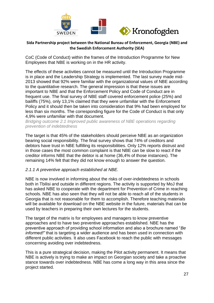

CoC (Code of Conduct) within the frames of the Introduction Programme for New Employees that NBE is working on in the HR activity.

The effects of these activities cannot be measured until the Introduction Programme is in place and the Leadership Strategy is implemented. The last survey made mid-2013 showed that 92% were familiar with the organizational values of NBE according to the quantitative research. The general impression is that these issues are important to NBE and that the Enforcement Policy and Code of Conduct are in frequent use. The final survey of NBE staff covered enforcement police (25%) and bailiffs (75%), only 13,1% claimed that they were unfamiliar with the Enforcement Policy and it should then be taken into consideration that 9% had been employed for less than six months. The corresponding figure for the Code of Conduct is that only 4,9% were unfamiliar with that document.

*Bridging outcome 2.1 Improved public awareness of NBE operations regarding prevention of indebtedness*

The target is that 45% of the stakeholders should perceive NBE as an organization bearing social responsibility. The final survey shows that 74% of creditors and debtors have trust in NBE fulfilling its responsibilities. Only 12% reports distrust and in those cases the most common complaint is that NBE can be slow to react if the creditor informs NBE that the debtor is at home (36,4% of those instances). The remaining 14% felt that they did not know enough to answer the question.

## *2.1.1 A preventive approach established at NBE.*

NBE is now involved in informing about the risks of over-indebtedness in schools both in Tbilisi and outside in different regions. The activity is supported by MoJ that has asked NBE to cooperate with the department for Prevention of Crime in reaching schools. NBE has also seen that they will not be able to reach all of the students in Georgia that is not reasonable for them to accomplish. Therefore teaching materials will be available for download on the NBE website in the future, materials that can be used by teachers in preparing their own lectures for the students.

The target of the matrix is for employees and managers to know preventive approaches and to have two preventive approaches established. NBE has the preventive approach of providing school information and also a brochure named "*Be informed!"* that is targeting a wider audience and has been used in connection with different public activities. It also uses Facebook to reach the public with messages concerning avoiding over indebtedness.

This is a pure strategical decision, making the Pilot activity permanent. It means that NBE is actively is trying to make an impact on Georgian society and take a proactive stance towards over indebtedness. NBE has come a long way in this area since the project started.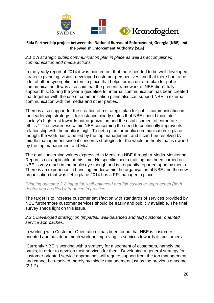

#### *2.1.2 A strategic public communication plan in place as well as accomplished communication and media actions.*

In the yearly report of 2014 it was pointed out that there needed to be well developed strategic planning, vision, developed customer perspectives and that there had to be a lot of other synergetic factors in place that helps form a uniform plan for public communication. It was also said that the present framework of NBE didn´t fully support this. During the year a guideline for internal communication has been created that together with the use of communication plans also can support NBE in external communication with the media and other parties.

There is also support for the creation of a strategic plan for public communication in the leadership strategy. It for instance clearly states that NBE should maintain "… society's high trust towards our organization and the establishment of corporate ethics." The awareness within NBE concerning the need to continually improve its relationship with the public is high. To get a plan for public communication in place though, the work has to be led by the top management and it can´t be resolved by middle management since it concerns strategies for the whole authority that is owned by the top management and MoJ.

The goal concerning values expressed in Media on NBE through a Media Monitoring Report is not applicable at this time. No specific media training has been carried out. NBE is very much in the public eye though and is frequently reported upon by media. There is an experience in handling media within the organisation of NBE and the new organisation that was set in place 2014 has a PR-manager in place.

*Bridging outcome 2.2 Impartial, well-balanced and fair customer approaches (both debtor and creditor) introduced in practice*

The target is to increase customer satisfaction with standards of services provided by NBE furthermore customer services should be easily and publicly available. The final survey sheds light on this issue.

#### *2.2.1 Developed strategy on (impartial, well-balanced and fair) customer oriented service approaches.*

In working with Customer Orientation it has been found that NBE is customer oriented and has done much work on improving its services towards its customers.

Currently NBE is working with a strategy for a segment of customers, namely the banks, in order to develop their services for them. Developing a general strategy for customer oriented service approaches will require support from the top management and cannot be resolved merely by middle management just as the previous outcome (2.1.2).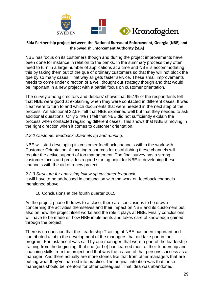

NBE has focus on its customers though and during the project improvements have been done for instance in relation to the banks. In the summary process they often need to turn in a large number of applications at a time and NBE is accommodating this by taking them out of the que of ordinary customers so that they will not block the que by so many cases. That way all gets faster service. These small improvements needs to come under direction of a well thought out strategy though and that would be important in a new project with a partial focus on customer orientation.

The survey among creditors and debtors' shows that 65,1% of the respondents felt that NBE were good at explaining when they were contacted in different cases. It was clear were to turn to and which documents that were needed in the next step of the process. An additional 32,5% felt that NBE explained well but that they needed to ask additional questions. Only 2,4% (!) felt that NBE did not sufficiently explain the process when contacted regarding different cases. This shows that NBE is moving in the right direction when it comes to customer orientation.

#### *2.2.2 Customer feedback channels up and running.*

NBE will start developing its customer feedback channels within the work with Customer Orientation. Allocating resources for establishing these channels will require the active support of top management. The final survey has a strong customer focus and provides a good starting point for NBE in developing these channels with the aid of a new project.

#### *2.2.3 Structure for analysing follow up customer feedback.*

It will have to be addressed in conjunction with the work on feedback channels mentioned above.

#### 10.Conclusions at the fourth quarter 2015

<span id="page-29-0"></span>As the project phase II draws to a close, there are conclusions to be drawn concerning the activities themselves and their impact on NBE and its customers but also on how the project itself works and the role it plays at NBE. Finally conclusions will have to be made on how NBE implements and takes care of knowledge gained through the project.

There is no question that the Leadership Training at NBE has been important and contributed a lot to the development of the managers that did take part in the program. For instance it was said by one manager, that were a part of the leadership training from the beginning, that she (or he) had learned most of their leadership and coaching skills from the project and that was the reason of that persons success as a manager. And there actually are more stories like that from other managers that are putting what they've learned into practice. The original intention was that these managers should be mentors for other colleagues. That idea was abandoned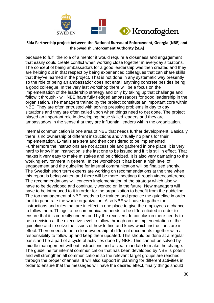

because to fulfil the role of a mentor it would require a closeness and engagement that easily could create conflict when working close together in everyday situations. The concept of being ambassadors for a good leadership was then created and they are helping out in that respect by being experienced colleagues that can share skills that they've learned in the project. That is not done in any systematic way presently so the role of being an ambassador does not entail anything concrete besides being a good colleague. In the very last workshop there will be a focus on the implementation of the leadership strategy and only by taking up that challenge and follow it through - will NBE have fully fledged ambassadors for good leadership in the organisation. The managers trained by the project constitute an important core within NBE. They are often entrusted with solving pressing problems in day to day situations and they are often called upon when things need to get done. The project played an important role in developing these skilled leaders and they are ambassadors in the sense that they are influential leaders within the organization.

Internal communication is one area of NBE that needs further development. Basically there is no ownership of different instructions and virtually no plans for their implementation, E-mails are sent and then considered to be implemented. Furthermore the instructions are not accessible and gathered in one place, it is very hard to know if an instruction is the last one to be issued and if it is still in effect. That makes it very easy to make mistakes and be criticized. It is also very damaging to the working environment in general. In the workshops it has been a high level of engagement and the guideline for internal communication will be finalized shortly. The Swedish short term experts are working on recommendations at the time when this report is being written and there will be more meetings through videoconference. The recommendations will concern implementation of the strategy which also will have to be developed and continually worked on in the future. New managers will have to be introduced to it in order for the organization to benefit from the guideline. The top management of NBE needs to be trained and practice the guideline in order for it to penetrate the whole organization. Also NBE will have to gather the instructions and rules that are in effect in one place to give the employees a chance to follow them. Things to be communicated needs to be differentiated in order to ensure that it is correctly understood by the receivers. In conclusion there needs to be a decision at the executive level to follow through on the implementation of the guideline and to solve the issues of how to find and know which instructions are in effect. There needs to be a clear ownership of different documents together with a responsibility to follow up and keep them updated. This should be done at a regular basis and be a part of a cycle of activities done by NBE. This cannot be solved by middle management without instructions and a clear mandate to make the change. The guideline for internal communication that has been developed by NBE is potent and will strengthen all communications so the relevant target groups are reached through the proper channels. It will also support in planning for different activities in order to ensure that the messages will have the desired effect, finally things should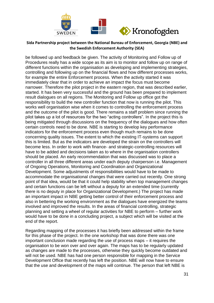

be followed up and feedback be given. The activity of Monitoring and Follow up of Procedures really has a wide scope as its aim is to monitor and follow up on range of different functions within the organisation as developing and implementing strategies, controlling and following up on the financial flows and how different processes works, for example the entire Enforcement process. When the activity started it was immediately clear that in order to achieve an impact the focus must become narrower. Therefore the pilot project in the eastern region, that was described earlier, started. It has been very successful and the ground has been prepared to implement result dialogues on all regions. The Monitoring and Follow up office got the responsibility to build the new controller function that now is running the pilot. This works well organisation wise when it comes to controlling the enforcement process and the outcome of the pilot is good. There remains a staff problem since running the pilot takes up a lot of resources for the two "acting controllers". In the project this is being mitigated through discussions on the frequency of the dialogues and how often certain controls need to be done. NBE is starting to develop key performance indicators for the enforcement process even though much remains to be done concerning quality issues. The extent to which the existing IT-systems can support this is limited. But as the indicators are developed the strain on the controllers will become less. In order to work with finance- and strategic-controlling resources will have to be added and decisions taken as to where in the organisation controllers should be placed. An early recommendation that was discussed was to place a controller in all three different areas under each deputy chairperson i.e. Management of Ongoing Operations, Monitoring and Coordination and Organizational Development. Some adjustments of responsibilities would have to be made to accommodate the organisational changes that were carried out recently. One strong point of that idea, would be that it could help stability when top management changes and certain functions can be left without a deputy for an extended time (currently there is no deputy in place for Organizational Development.) The project has made an important impact in NBE getting better control of their enforcement process and also in bettering the working environment as the dialogues have energized the teams involved and improved the results. In the areas of financial controlling, strategic planning and setting a wheel of regular activities for NBE to perform – further work would have to be done in a concluding project, a subject which will be visited at the end of the report.

Regarding mapping of the processes it has briefly been addressed within the frame for this phase of the project. In the one workshop that was done there was one important conclusion made regarding the use of process maps – it requires the organisation to be won over and over again. The maps has to be regularly updated as changes are made to the processes, otherwise they quickly become outdated and will not be used. NBE has had one person responsible for mapping in the Service Development Office that recently has left the position. NBE will now have to ensure that the use and development of the maps will continue. The person that left NBE is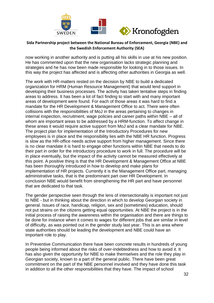

now working in another authority and is putting all his skills in use at his new position. He has commented upon that the new organisation lacks strategic planning and strategies and he has now been made responsible for looking in to those issues. In this way the project has affected and is affecting other authorities in Georgia as well.

The work with HR-matters rested on the decision by NBE to build a dedicated organization for HRM (Human Resource Management) that would lend support in developing their business processes. The activity has taken tentative steps in finding areas to address. It has been a lot of fact finding to start with and many important areas of development were found. For each of those areas it was hard to find a mandate for the HR Development & Management Office to act. There were often collisions with the responsibilities of MoJ in the areas pertaining to changes in internal inspection, recruitment, wage policies and career paths within NBE – all of whom are important areas to be addressed by a HRM-function. To affect change in these areas it would require active support from MoJ and a clear mandate for NBE. The project plan for implementation of the Introductory Procedures for new employees is in place and the responsibility lies with the NBE HR function. Progress is slow as the HR-office needs active support from higher management. Since there is no clear mandate it is hard to engage other functions within NBE that needs to do their part in order for the introductory procedure to work in full. The procedure will be in place eventually, but the impact of the activity cannot be measured effectively at this point. A positive thing is that the HR Development & Management Office at NBE has been thoroughly introduced in how to develop and make plans for implementation of HR projects. Currently it is the Management Office part, managing administrative tasks, that is the predominant part over HR Development. In conclusion NBE would benefit from strengthening the HR part and have personnel that are dedicated to that task.

The gender perspective seen through the lens of intersectionality is important not just to NBE - but in thinking about the direction in which to develop Georgian society in general. Issues of race, handicap, religion, sex and (sometimes) education, should not put strains on the citizens getting equal opportunities. At NBE the project is in the initial process of raising the awareness within the organisation and there are things to be done for instance when it comes to wages for different jobs that are similar in level of difficulty, as was pointed out in the gender study last year. This is an area where state authorities should be leading the development and NBE could have an important role to play.

In Preventive Communication there have been concrete results in hundreds of young people being informed about the risks of over-indebtedness and how to avoid it. It has also given the opportunity for NBE to make themselves and the role they play in Georgian society, known to a part of the general public. There have been great commitment on the part of the NBE personnel involved and they have done this task in addition to all the other responsibilities that they have. The impact of school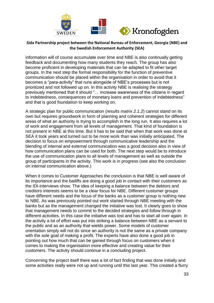

information will of course accumulate over time and NBE is also continually getting feedback and documenting how many students they reach. The group has also become proficient in developing materials that can be adapted to fit other target groups. In the next step the formal responsibility for the function of preventive communication should be placed within the organisation in order to avoid that it becomes a "para-activity" that runs alongside of NBE's processes but is not prioritized and not followed up on. In this activity NBE is realising the strategy previously mentioned that it should "… increase awareness of the citizens in regard to indebtedness, consequences of monetary loans and prevention of indebtedness" and that is good foundation to keep working on.

A strategic plan for public communication (*results matrix 2.1.2*) cannot stand on its own but requires groundwork in form of planning and coherent strategies for different areas of what an authority is trying to accomplish in the long run. It also requires a lot of work and engagement from all levels of management. That kind of foundation is not present in NBE at this time. But it has to be said that when that work was done at SEA it took years and turned out to be more work than was initially anticipated. The decision to focus on empowerment through communicative leadership and the blending of internal and external communication was a good decision also in view of how communication plans can be used for both. The next step would be to introduce the use of communication plans to all levels of management as well as outside the group of participants in the activity. This work is in progress (see also the conclusion on internal communication above.)

When it comes to Customer Approaches the conclusion is that NBE is well aware of its importance and the bailiffs are doing a good job in contact with their customers as the IDI-interviews show. The idea of keeping a balance between the debtors and creditors interests seems to be a clear focus for NBE. Different customer groups have different needs and the focus of the banks as a customer group is nothing new to NBE. As was previously pointed out work started through NBE meeting with the banks but as the management changed the initiative was lost. It clearly goes to show that management needs to commit to the decided strategies and follow through in different activities. In this case the initiative was lost and has to start all over again. In the activity a lot of effort was put into striking a balance between NBE as a servant to the public and as an authority that wields power. Some models of customer orientation simply will not do since an authority is not the same as a private company with the sole goal of making a profit. The experts have also done a good job in pointing out how much that can be gained through focus on customers when it comes to making the organisation more effective and creating value for their customers. The activity should continue in a concluding project.

Concerning the project itself there was a lot of fact finding that was done initially and some activities really were not up and running until this last year. This created a flurry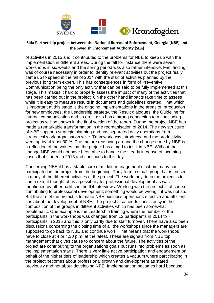

of activities in 2015 and it contributed to the problems for NBE to keep up with the implementation in different areas. During the fall for instance there were seven workshops in six weeks and the spring period was also rather intensive. Fact finding was of course necessary in order to identify relevant activities but the project really came up to speed in the fall of 2014 with the start of activities planned by the previous long term expert. This has consequences in form of Preventive Communication being the only activity that can be said to be fully implemented at this stage. This makes it hard to properly assess the impact of many of the activities that has been carried out in the project. On the other hand impacts take time to assess while it is easy to measure results in documents and guidelines created. That which is important at this stage is the ongoing implementations in the areas of Introduction for new employees, the Leadership strategy, the Result dialogues, the Guideline for internal communication and so on. It also has a strong connection to a concluding project as will be shown in the final section of the report. During the project NBE has made a remarkable transformation in the reorganisation of 2014. The new structure of NBE supports strategic planning and has separated daily operations from strategical work organisation wise. Teamwork was introduced and the productivity went up by at least 30 %. The mature reasoning around the change done by NBE is a reflection of the values that the project has aimed to instil in NBE. Without that change NBE would not have been able to handle the steady increase of incoming cases that started in 2013 and continues to this day.

Concerning NBE it has a stable core of middle management of whom many has participated in the project from the beginning. They form a small group that is present in many of the different activities of the project. The work they do in the project is to some extent thought of as a possibility for professional development as was mentioned by other bailiffs in the IDI-interviews. Working with the project is of course contributing to professional development, something would be wrong if it was not so. But the aim of the project is to make NBE business operations effective and efficient. It is about the development of NBE. The project also needs consistency in the composition of the groups in different activities which has been somewhat problematic. One example is the Leadership training where the number of the participants in the workshops was changed from 12 participants in 2014 to 7 participants in 2015 and this is only partly due to staff turnover. There have also been discussions concerning the closing time of all the workshops since the managers are supposed to go back to NBE and continue work. That means that the workshops have to close at 4 or 4.30 p.m. at the latest. These are signals from NBE top management that gives cause to concern about the future. The activities of the project are contributing to the organizations goals but runs into problems as soon as the implementation starts. There is very little active participation and engagement on behalf of the higher tiers of leadership which creates a vacuum where participating in the project becomes about professional growth and development as stated previously and not about developing NBE. Implementation becomes hard because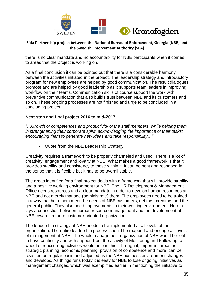

there is no clear mandate and no accountability for NBE participants when it comes to areas that the project is working on.

As a final conclusion it can be pointed out that there is a considerable harmony between the activities initiated in the project. The leadership strategy and introductory program for new employees are helped by good communication. The result dialogues promote and are helped by good leadership as it supports team leaders in improving workflow on their teams. Communication skills of course support the work with preventive communication that also builds trust between NBE and its customers and so on. These ongoing processes are not finished and urge to be concluded in a concluding project.

## **Next step and final project 2016 to mid-2017**

*"…Growth of competences and productivity of the staff members, while helping them in strengthening their corporate spirit, acknowledging the importance of their tasks; encouraging them to generate new ideas and take responsibility…"*

- Quote from the NBE Leadership Strategy

Creativity requires a framework to be properly channeled and used. There is a lot of creativity, engagement and loyalty at NBE. What makes a good framework is that it provides stability and consistency to those within it. It can be bent and reshaped in the sense that it is flexible but it has to be overall stable.

The areas identified for a final project deals with a framework that will provide stability and a positive working environment for NBE. The HR Development & Management Office needs resources and a clear mandate in order to develop human resources at NBE and not merely manage (administrate) them. The employees need to be trained in a way that help them meet the needs of NBE customers; debtors, creditors and the general public. They also need improvements in their working environment. Herein lays a connection between human resource management and the development of NBE towards a more customer oriented organization.

The leadership strategy of NBE needs to be implemented at all levels of the organization. The entire leadership process should be mapped and engage all levels of management at NBE. The whole management organization of NBE would benefit to have continuity and with support from the activity of Monitoring and Follow up, a wheel of reoccurring activities would help in this. Through it, important areas as strategic planning, economic planning, provision of competence and more, can be revisited on regular basis and adjusted as the NBE business environment changes and develops. As things runs today it is easy for NBE to lose ongoing initiatives as management changes, which was exemplified earlier in mentioning the initiative to